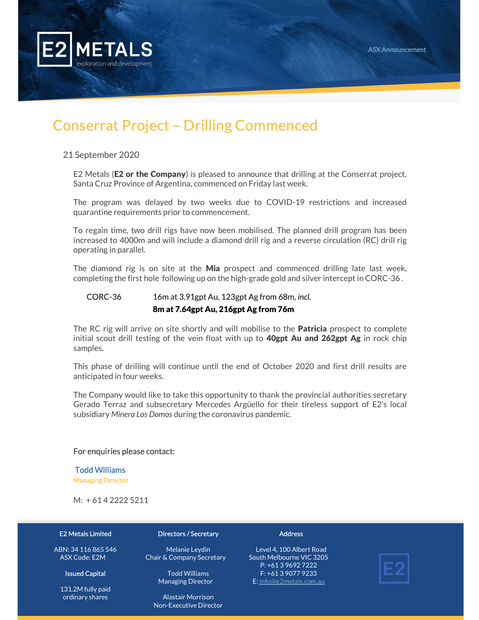

## Conserrat Project – Drilling Commenced

#### 21 September 2020

E2 Metals (**E2 or the Company**) is pleased to announce that drilling at the Conserrat project, Santa Cruz Province of Argentina, commenced on Friday last week.

The program was delayed by two weeks due to COVID-19 restrictions and increased quarantine requirements prior to commencement.

To regain time, two drill rigs have now been mobilised. The planned drill program has been increased to 4000m and will include a diamond drill rig and a reverse circulation (RC) drill rig operating in parallel.

The diamond rig is on site at the **Mia** prospect and commenced drilling late last week, completing the first hole following up on the high-grade gold and silver intercept in CORC-36 .

## CORC-36 16m at 3.91gpt Au, 123gpt Ag from 68m, incl.

#### 8m at 7.64gpt Au, 216gpt Ag from 76m

The RC rig will arrive on site shortly and will mobilise to the **Patricia** prospect to complete initial scout drill testing of the vein float with up to 40gpt Au and 262gpt Ag in rock chip samples.

This phase of drilling will continue until the end of October 2020 and first drill results are anticipated in four weeks.

The Company would like to take this opportunity to thank the provincial authorities secretary Gerado Terraz and subsecretary Mercedes Argüello for their tireless support of E2's local subsidiary Minera Los Domos during the coronavirus pandemic.

#### For enquiries please contact:

#### Todd Williams

Managing Director

M: + 61 4 2222 5211

#### E2 Metals Limited

ABN: 34 116 865 546 ASX Code: E2M

#### Issued Capital

131.2M fully paid ordinary shares

#### Directors / Secretary

Melanie Leydin Chair & Company Secretary

> Todd Williams Managing Director

Alastair Morrison Non-Executive Director **Address** 

Level 4, 100 Albert Road South Melbourne VIC 3205 P: +61 3 9692 7222 F: +61 3 9077 9233 E: info@e2metals.com.au

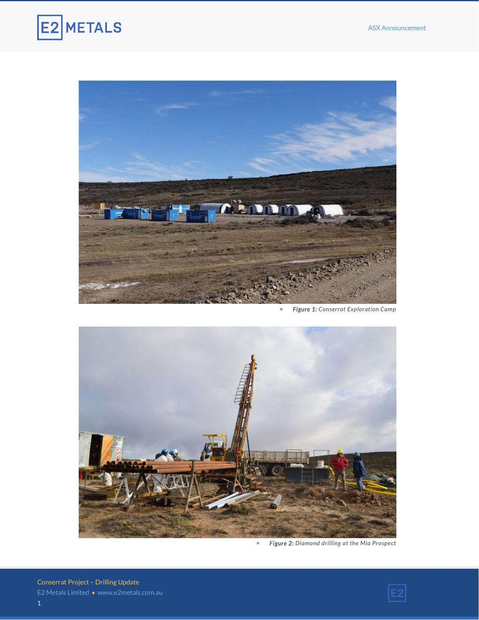



Figure 1: Conserrat Exploration Camp



Figure 2: Diamond drilling at the Mia Prospect

Conserrat Project – Drilling Update 1

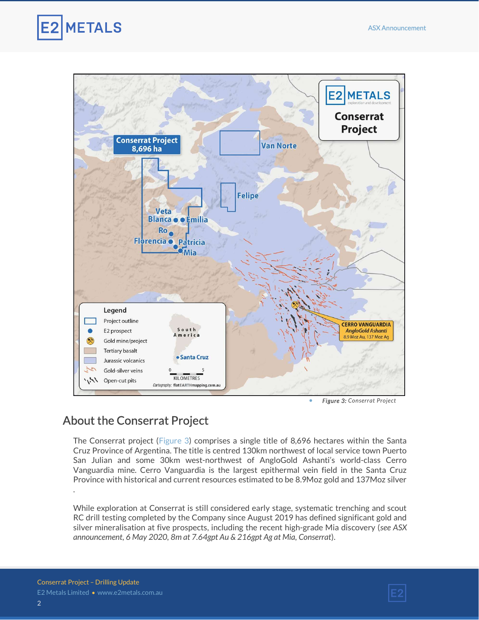



Figure 3: Conserrat Project

### About the Conserrat Project

The Conserrat project (Figure 3) comprises a single title of 8,696 hectares within the Santa Cruz Province of Argentina. The title is centred 130km northwest of local service town Puerto San Julian and some 30km west-northwest of AngloGold Ashanti's world-class Cerro Vanguardia mine. Cerro Vanguardia is the largest epithermal vein field in the Santa Cruz Province with historical and current resources estimated to be 8.9Moz gold and 137Moz silver .

While exploration at Conserrat is still considered early stage, systematic trenching and scout RC drill testing completed by the Company since August 2019 has defined significant gold and silver mineralisation at five prospects, including the recent high-grade Mia discovery (see ASX announcement, 6 May 2020, 8m at 7.64gpt Au & 216gpt Ag at Mia, Conserrat).